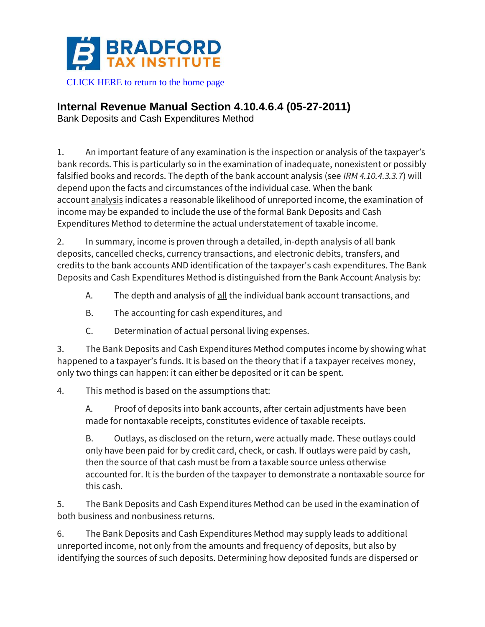

## **Internal Revenue Manual Section 4.10.4.6.4 (05-27-2011)**

Bank Deposits and Cash Expenditures Method

1. An important feature of any examination is the inspection or analysis of the taxpayer's bank records. This is particularly so in the examination of inadequate, nonexistent or possibly falsified books and records. The depth of the bank account analysis (see *IRM 4.10.4.3.3.7*) will depend upon the facts and circumstances of the individual case. When the bank account analysis indicates a reasonable likelihood of unreported income, the examination of income may be expanded to include the use of the formal Bank Deposits and Cash Expenditures Method to determine the actual understatement of taxable income.

2. In summary, income is proven through a detailed, in-depth analysis of all bank deposits, cancelled checks, currency transactions, and electronic debits, transfers, and credits to the bank accounts AND identification of the taxpayer's cash expenditures. The Bank Deposits and Cash Expenditures Method is distinguished from the Bank Account Analysis by:

- A. The depth and analysis of all the individual bank account transactions, and
- B. The accounting for cash expenditures, and
- C. Determination of actual personal living expenses.

3. The Bank Deposits and Cash Expenditures Method computes income by showing what happened to a taxpayer's funds. It is based on the theory that if a taxpayer receives money, only two things can happen: it can either be deposited or it can be spent.

4. This method is based on the assumptions that:

A. Proof of deposits into bank accounts, after certain adjustments have been made for nontaxable receipts, constitutes evidence of taxable receipts.

B. Outlays, as disclosed on the return, were actually made. These outlays could only have been paid for by credit card, check, or cash. If outlays were paid by cash, then the source of that cash must be from a taxable source unless otherwise accounted for. It is the burden of the taxpayer to demonstrate a nontaxable source for this cash.

5. The Bank Deposits and Cash Expenditures Method can be used in the examination of both business and nonbusiness returns.

6. The Bank Deposits and Cash Expenditures Method may supply leads to additional unreported income, not only from the amounts and frequency of deposits, but also by identifying the sources of such deposits. Determining how deposited funds are dispersed or